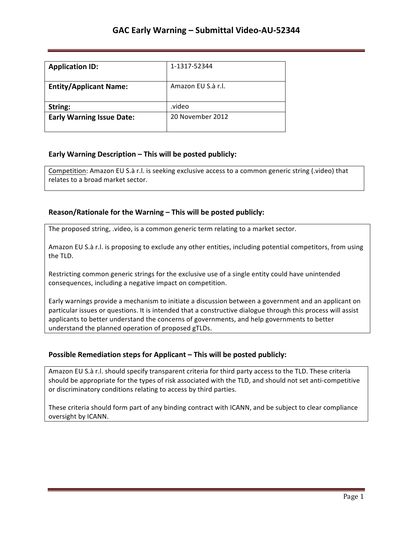| <b>Application ID:</b>           | 1-1317-52344       |
|----------------------------------|--------------------|
| <b>Entity/Applicant Name:</b>    | Amazon EU S.à r.l. |
| String:                          | .video             |
| <b>Early Warning Issue Date:</b> | 20 November 2012   |

## **Early Warning Description – This will be posted publicly:**

Competition: Amazon EU S.à r.l. is seeking exclusive access to a common generic string (.video) that relates to a broad market sector.

### **Reason/Rationale for the Warning – This will be posted publicly:**

The proposed string, .video, is a common generic term relating to a market sector.

Amazon EU S.à r.l. is proposing to exclude any other entities, including potential competitors, from using the TLD.

Restricting common generic strings for the exclusive use of a single entity could have unintended consequences, including a negative impact on competition.

Early warnings provide a mechanism to initiate a discussion between a government and an applicant on particular issues or questions. It is intended that a constructive dialogue through this process will assist applicants to better understand the concerns of governments, and help governments to better understand the planned operation of proposed gTLDs.

## **Possible Remediation steps for Applicant - This will be posted publicly:**

Amazon EU S.à r.l. should specify transparent criteria for third party access to the TLD. These criteria should be appropriate for the types of risk associated with the TLD, and should not set anti-competitive or discriminatory conditions relating to access by third parties.

These criteria should form part of any binding contract with ICANN, and be subject to clear compliance oversight by ICANN.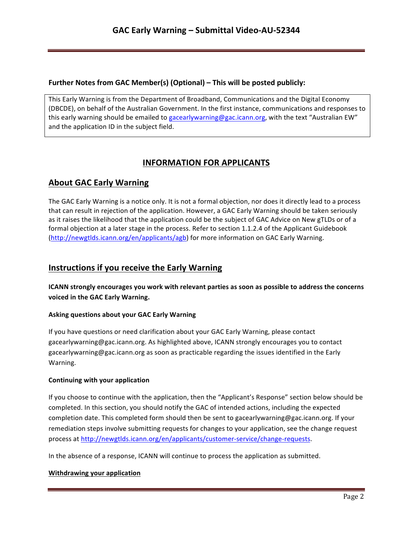## **Further Notes from GAC Member(s) (Optional) – This will be posted publicly:**

This Early Warning is from the Department of Broadband, Communications and the Digital Economy (DBCDE), on behalf of the Australian Government. In the first instance, communications and responses to this early warning should be emailed to gacearlywarning@gac.icann.org, with the text "Australian EW" and the application ID in the subject field.

# **INFORMATION FOR APPLICANTS**

# **About GAC Early Warning**

The GAC Early Warning is a notice only. It is not a formal objection, nor does it directly lead to a process that can result in rejection of the application. However, a GAC Early Warning should be taken seriously as it raises the likelihood that the application could be the subject of GAC Advice on New gTLDs or of a formal objection at a later stage in the process. Refer to section 1.1.2.4 of the Applicant Guidebook (http://newgtlds.icann.org/en/applicants/agb) for more information on GAC Early Warning.

## **Instructions if you receive the Early Warning**

**ICANN** strongly encourages you work with relevant parties as soon as possible to address the concerns voiced in the GAC Early Warning.

### **Asking questions about your GAC Early Warning**

If you have questions or need clarification about your GAC Early Warning, please contact gacearlywarning@gac.icann.org. As highlighted above, ICANN strongly encourages you to contact gacearlywarning@gac.icann.org as soon as practicable regarding the issues identified in the Early Warning. 

### **Continuing with your application**

If you choose to continue with the application, then the "Applicant's Response" section below should be completed. In this section, you should notify the GAC of intended actions, including the expected completion date. This completed form should then be sent to gacearlywarning@gac.icann.org. If your remediation steps involve submitting requests for changes to your application, see the change request process at http://newgtlds.icann.org/en/applicants/customer-service/change-requests.

In the absence of a response, ICANN will continue to process the application as submitted.

### **Withdrawing your application**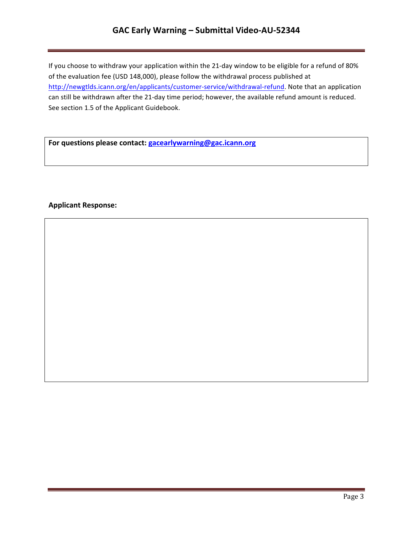# **GAC Early Warning – Submittal Video-AU-52344**

If you choose to withdraw your application within the 21-day window to be eligible for a refund of 80% of the evaluation fee (USD 148,000), please follow the withdrawal process published at http://newgtlds.icann.org/en/applicants/customer-service/withdrawal-refund. Note that an application can still be withdrawn after the 21-day time period; however, the available refund amount is reduced. See section 1.5 of the Applicant Guidebook.

For questions please contact: **gacearlywarning@gac.icann.org** 

### **Applicant Response:**